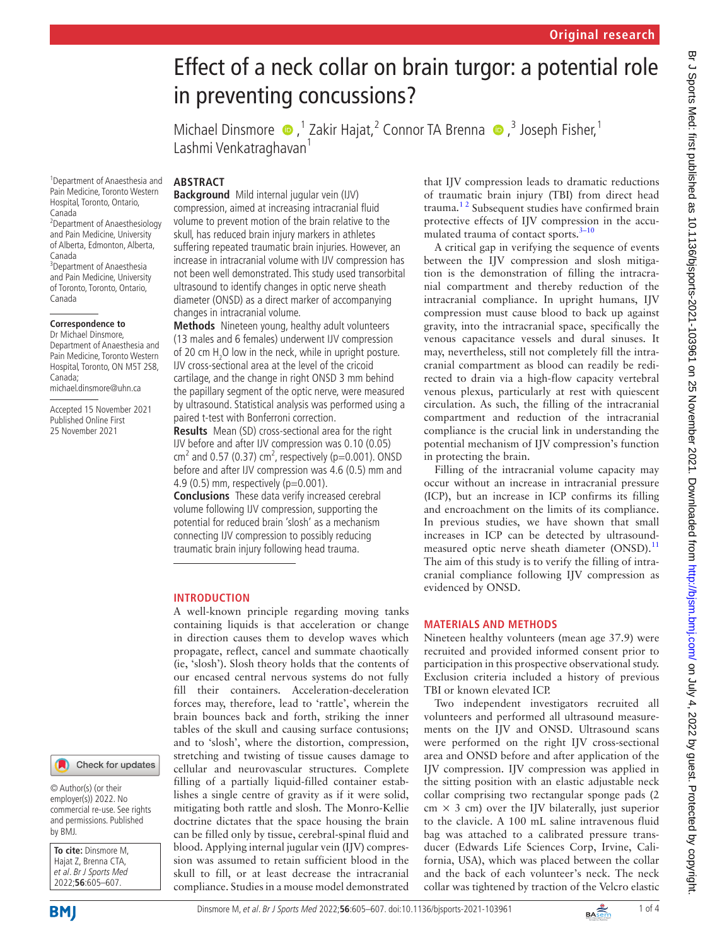# in preventing concussions? MichaelDinsmore  $\bullet$ , <sup>1</sup> Zakir Hajat, <sup>2</sup> Connor TA Brenna  $\bullet$ , <sup>3</sup> Joseph Fisher, <sup>1</sup> Lashmi Venkatraghavan<sup>1</sup> **ABSTRACT Background** Mild internal jugular vein (IJV) compression, aimed at increasing intracranial fluid volume to prevent motion of the brain relative to the skull, has reduced brain injury markers in athletes suffering repeated traumatic brain injuries. However, an increase in intracranial volume with IJV compression has not been well demonstrated. This study used transorbital ultrasound to identify changes in optic nerve sheath diameter (ONSD) as a direct marker of accompanying changes in intracranial volume. **Methods** Nineteen young, healthy adult volunteers (13 males and 6 females) underwent IJV compression of 20 cm  $H_2O$  low in the neck, while in upright posture.

Effect of a neck collar on brain turgor: a potential role

IJV cross-sectional area at the level of the cricoid cartilage, and the change in right ONSD 3 mm behind the papillary segment of the optic nerve, were measured by ultrasound. Statistical analysis was performed using a paired t-test with Bonferroni correction.

**Results** Mean (SD) cross-sectional area for the right IJV before and after IJV compression was 0.10 (0.05) cm<sup>2</sup> and 0.57 (0.37) cm<sup>2</sup>, respectively (p=0.001). ONSD before and after IJV compression was 4.6 (0.5) mm and 4.9 (0.5) mm, respectively (p=0.001).

**Conclusions** These data verify increased cerebral volume following IJV compression, supporting the potential for reduced brain 'slosh' as a mechanism connecting IJV compression to possibly reducing traumatic brain injury following head trauma.

### **INTRODUCTION**

A well-known principle regarding moving tanks containing liquids is that acceleration or change in direction causes them to develop waves which propagate, reflect, cancel and summate chaotically (ie, 'slosh'). Slosh theory holds that the contents of our encased central nervous systems do not fully fill their containers. Acceleration-deceleration forces may, therefore, lead to 'rattle', wherein the brain bounces back and forth, striking the inner tables of the skull and causing surface contusions; and to 'slosh', where the distortion, compression, stretching and twisting of tissue causes damage to cellular and neurovascular structures. Complete filling of a partially liquid-filled container establishes a single centre of gravity as if it were solid, mitigating both rattle and slosh. The Monro-Kellie doctrine dictates that the space housing the brain can be filled only by tissue, cerebral-spinal fluid and blood. Applying internal jugular vein (IJV) compression was assumed to retain sufficient blood in the skull to fill, or at least decrease the intracranial compliance. Studies in a mouse model demonstrated

that IJV compression leads to dramatic reductions of traumatic brain injury (TBI) from direct head trauma[.1 2](#page-3-0) Subsequent studies have confirmed brain protective effects of IJV compression in the accumulated trauma of contact sports.<sup>3-10</sup>

A critical gap in verifying the sequence of events between the IJV compression and slosh mitigation is the demonstration of filling the intracranial compartment and thereby reduction of the intracranial compliance. In upright humans, IJV compression must cause blood to back up against gravity, into the intracranial space, specifically the venous capacitance vessels and dural sinuses. It may, nevertheless, still not completely fill the intracranial compartment as blood can readily be redirected to drain via a high-flow capacity vertebral venous plexus, particularly at rest with quiescent circulation. As such, the filling of the intracranial compartment and reduction of the intracranial compliance is the crucial link in understanding the potential mechanism of IJV compression's function in protecting the brain.

Filling of the intracranial volume capacity may occur without an increase in intracranial pressure (ICP), but an increase in ICP confirms its filling and encroachment on the limits of its compliance. In previous studies, we have shown that small increases in ICP can be detected by ultrasound-measured optic nerve sheath diameter (ONSD).<sup>[11](#page-3-2)</sup> The aim of this study is to verify the filling of intracranial compliance following IJV compression as evidenced by ONSD.

## **MATERIALS AND METHODS**

Nineteen healthy volunteers (mean age 37.9) were recruited and provided informed consent prior to participation in this prospective observational study. Exclusion criteria included a history of previous TBI or known elevated ICP.

Two independent investigators recruited all volunteers and performed all ultrasound measurements on the IJV and ONSD. Ultrasound scans were performed on the right IJV cross-sectional area and ONSD before and after application of the IJV compression. IJV compression was applied in the sitting position with an elastic adjustable neck collar comprising two rectangular sponge pads (2  $cm \times 3$  cm) over the IJV bilaterally, just superior to the clavicle. A 100 mL saline intravenous fluid bag was attached to a calibrated pressure transducer (Edwards Life Sciences Corp, Irvine, California, USA), which was placed between the collar and the back of each volunteer's neck. The neck collar was tightened by traction of the Velcro elastic

1 Department of Anaesthesia and Pain Medicine, Toronto Western Hospital, Toronto, Ontario, Canada 2 Department of Anaesthesiology

and Pain Medicine, University of Alberta, Edmonton, Alberta, Canada 3 Department of Anaesthesia

and Pain Medicine, University of Toronto, Toronto, Ontario, Canada

#### **Correspondence to**

Dr Michael Dinsmore, Department of Anaesthesia and Pain Medicine, Toronto Western Hospital, Toronto, ON M5T 2S8, Canada; michael.dinsmore@uhn.ca

Accepted 15 November 2021 Published Online First 25 November 2021

#### Check for updates

© Author(s) (or their employer(s)) 2022. No commercial re-use. See rights and permissions. Published by BMJ.

**To cite:** Dinsmore M, Hajat Z, Brenna CTA, et al. Br J Sports Med 2022;**56**:605–607.

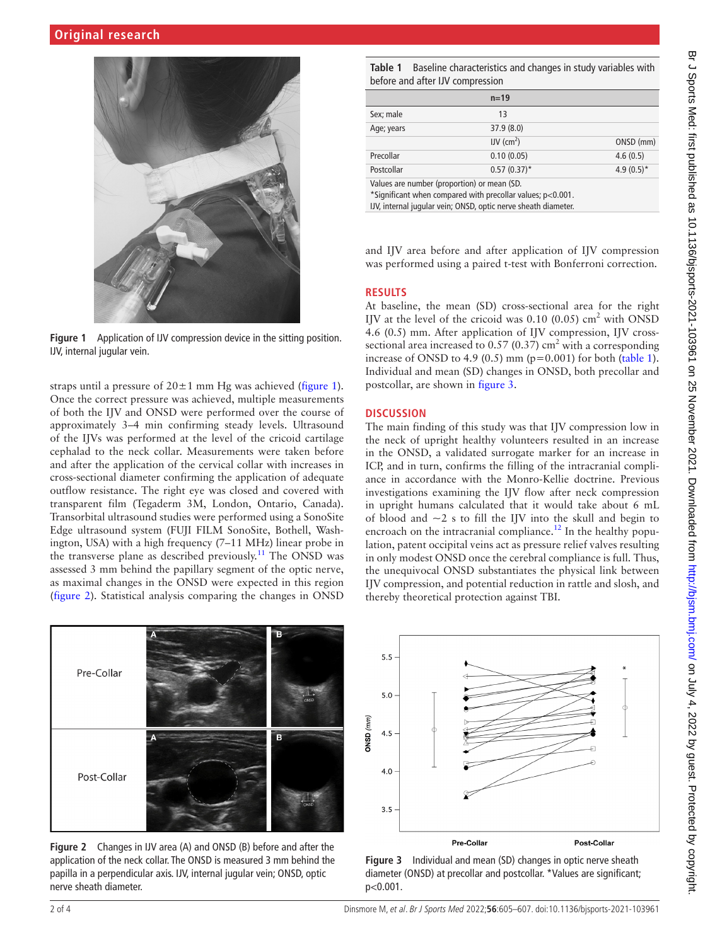

**Figure 1** Application of IJV compression device in the sitting position. IJV, internal jugular vein.

<span id="page-1-0"></span>straps until a pressure of  $20 \pm 1$  mm Hg was achieved ([figure](#page-1-0) 1). Once the correct pressure was achieved, multiple measurements of both the IJV and ONSD were performed over the course of approximately 3–4 min confirming steady levels. Ultrasound of the IJVs was performed at the level of the cricoid cartilage cephalad to the neck collar. Measurements were taken before and after the application of the cervical collar with increases in cross-sectional diameter confirming the application of adequate outflow resistance. The right eye was closed and covered with transparent film (Tegaderm 3M, London, Ontario, Canada). Transorbital ultrasound studies were performed using a SonoSite Edge ultrasound system (FUJI FILM SonoSite, Bothell, Washington, USA) with a high frequency (7–11 MHz) linear probe in the transverse plane as described previously.<sup>11</sup> The ONSD was assessed 3 mm behind the papillary segment of the optic nerve, as maximal changes in the ONSD were expected in this region ([figure](#page-1-1) 2). Statistical analysis comparing the changes in ONSD



<span id="page-1-1"></span>**Figure 2** Changes in IJV area (A) and ONSD (B) before and after the application of the neck collar. The ONSD is measured 3 mm behind the papilla in a perpendicular axis. IJV, internal jugular vein; ONSD, optic nerve sheath diameter.

<span id="page-1-2"></span>**Table 1** Baseline characteristics and changes in study variables with before and after IJV compression

|                                             | $n=19$                  |               |
|---------------------------------------------|-------------------------|---------------|
| Sex; male                                   | 13                      |               |
| Age; years                                  | 37.9(8.0)               |               |
|                                             | $IV$ (cm <sup>2</sup> ) | ONSD (mm)     |
| Precollar                                   | 0.10(0.05)              | 4.6(0.5)      |
| Postcollar                                  | $0.57(0.37)^*$          | 4.9 $(0.5)^*$ |
| Values are number (proportion) or mean (SD. |                         |               |

and IJV area before and after application of IJV compression was performed using a paired t-test with Bonferroni correction.

## **RESULTS**

At baseline, the mean (SD) cross-sectional area for the right IJV at the level of the cricoid was  $0.10$  (0.05) cm<sup>2</sup> with ONSD 4.6 (0.5) mm. After application of IJV compression, IJV crosssectional area increased to 0.57 (0.37)  $\text{cm}^2$  with a corresponding increase of ONSD to 4.9 (0.5) mm ( $p=0.001$ ) for both ([table](#page-1-2) 1). Individual and mean (SD) changes in ONSD, both precollar and postcollar, are shown in [figure](#page-1-3) 3.

## **DISCUSSION**

The main finding of this study was that IJV compression low in the neck of upright healthy volunteers resulted in an increase in the ONSD, a validated surrogate marker for an increase in ICP, and in turn, confirms the filling of the intracranial compliance in accordance with the Monro-Kellie doctrine. Previous investigations examining the IJV flow after neck compression in upright humans calculated that it would take about 6 mL of blood and  $\sim$ 2 s to fill the IJV into the skull and begin to encroach on the intracranial compliance.<sup>[12](#page-3-3)</sup> In the healthy population, patent occipital veins act as pressure relief valves resulting in only modest ONSD once the cerebral compliance is full. Thus, the unequivocal ONSD substantiates the physical link between IJV compression, and potential reduction in rattle and slosh, and thereby theoretical protection against TBI.



<span id="page-1-3"></span>**Figure 3** Individual and mean (SD) changes in optic nerve sheath diameter (ONSD) at precollar and postcollar. \*Values are significant; p<0.001.

<sup>\*</sup>Significant when compared with precollar values; p<0.001. IJV, internal jugular vein; ONSD, optic nerve sheath diameter.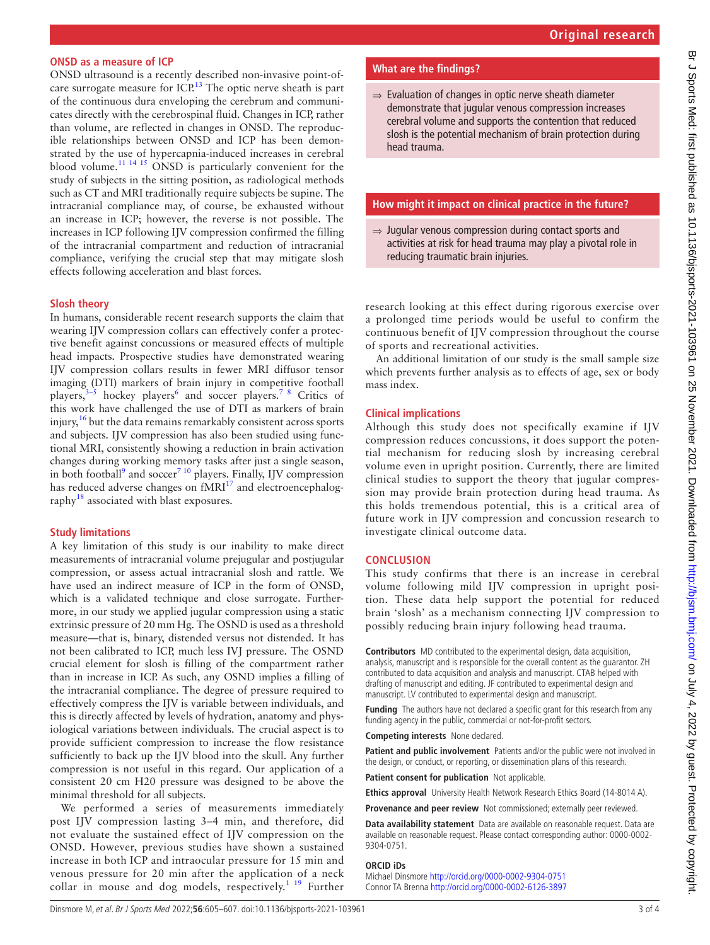### **ONSD as a measure of ICP**

ONSD ultrasound is a recently described non-invasive point-of-care surrogate measure for ICP.<sup>[13](#page-3-4)</sup> The optic nerve sheath is part of the continuous dura enveloping the cerebrum and communicates directly with the cerebrospinal fluid. Changes in ICP, rather than volume, are reflected in changes in ONSD. The reproducible relationships between ONSD and ICP has been demonstrated by the use of hypercapnia-induced increases in cerebral blood volume.<sup>11 14 15</sup> ONSD is particularly convenient for the study of subjects in the sitting position, as radiological methods such as CT and MRI traditionally require subjects be supine. The intracranial compliance may, of course, be exhausted without an increase in ICP; however, the reverse is not possible. The increases in ICP following IJV compression confirmed the filling of the intracranial compartment and reduction of intracranial compliance, verifying the crucial step that may mitigate slosh effects following acceleration and blast forces.

#### **Slosh theory**

In humans, considerable recent research supports the claim that wearing IJV compression collars can effectively confer a protective benefit against concussions or measured effects of multiple head impacts. Prospective studies have demonstrated wearing IJV compression collars results in fewer MRI diffusor tensor imaging (DTI) markers of brain injury in competitive football players, $3-5$  hockey players<sup>[6](#page-3-5)</sup> and soccer players.<sup>7</sup> <sup>8</sup> Critics of this work have challenged the use of DTI as markers of brain injury, $16$  but the data remains remarkably consistent across sports and subjects. IJV compression has also been studied using functional MRI, consistently showing a reduction in brain activation changes during working memory tasks after just a single season, in both football<sup>[9](#page-3-8)</sup> and soccer<sup>[7 10](#page-3-6)</sup> players. Finally, IJV compression has reduced adverse changes on  $fMRI<sup>17</sup>$  and electroencephalography<sup>18</sup> associated with blast exposures.

## **Study limitations**

A key limitation of this study is our inability to make direct measurements of intracranial volume prejugular and postjugular compression, or assess actual intracranial slosh and rattle. We have used an indirect measure of ICP in the form of ONSD, which is a validated technique and close surrogate. Furthermore, in our study we applied jugular compression using a static extrinsic pressure of 20 mm Hg. The OSND is used as a threshold measure—that is, binary, distended versus not distended. It has not been calibrated to ICP, much less IVJ pressure. The OSND crucial element for slosh is filling of the compartment rather than in increase in ICP. As such, any OSND implies a filling of the intracranial compliance. The degree of pressure required to effectively compress the IJV is variable between individuals, and this is directly affected by levels of hydration, anatomy and physiological variations between individuals. The crucial aspect is to provide sufficient compression to increase the flow resistance sufficiently to back up the IJV blood into the skull. Any further compression is not useful in this regard. Our application of a consistent 20 cm H20 pressure was designed to be above the minimal threshold for all subjects.

We performed a series of measurements immediately post IJV compression lasting 3–4 min, and therefore, did not evaluate the sustained effect of IJV compression on the ONSD. However, previous studies have shown a sustained increase in both ICP and intraocular pressure for 15 min and venous pressure for 20 min after the application of a neck collar in mouse and dog models, respectively.<sup>[1 19](#page-3-0)</sup> Further

## **What are the findings?**

⇒ Evaluation of changes in optic nerve sheath diameter demonstrate that jugular venous compression increases cerebral volume and supports the contention that reduced slosh is the potential mechanism of brain protection during head trauma.

#### **How might it impact on clinical practice in the future?**

⇒ Jugular venous compression during contact sports and activities at risk for head trauma may play a pivotal role in reducing traumatic brain injuries.

research looking at this effect during rigorous exercise over a prolonged time periods would be useful to confirm the continuous benefit of IJV compression throughout the course of sports and recreational activities.

An additional limitation of our study is the small sample size which prevents further analysis as to effects of age, sex or body mass index.

### **Clinical implications**

Although this study does not specifically examine if IJV compression reduces concussions, it does support the potential mechanism for reducing slosh by increasing cerebral volume even in upright position. Currently, there are limited clinical studies to support the theory that jugular compression may provide brain protection during head trauma. As this holds tremendous potential, this is a critical area of future work in IJV compression and concussion research to investigate clinical outcome data.

### **CONCLUSION**

This study confirms that there is an increase in cerebral volume following mild IJV compression in upright position. These data help support the potential for reduced brain 'slosh' as a mechanism connecting IJV compression to possibly reducing brain injury following head trauma.

**Contributors** MD contributed to the experimental design, data acquisition, analysis, manuscript and is responsible for the overall content as the guarantor. ZH contributed to data acquisition and analysis and manuscript. CTAB helped with drafting of manuscript and editing. JF contributed to experimental design and manuscript. LV contributed to experimental design and manuscript.

**Funding** The authors have not declared a specific grant for this research from any funding agency in the public, commercial or not-for-profit sectors.

**Competing interests** None declared.

**Patient and public involvement** Patients and/or the public were not involved in the design, or conduct, or reporting, or dissemination plans of this research.

**Patient consent for publication** Not applicable.

**Ethics approval** University Health Network Research Ethics Board (14-8014 A).

**Provenance and peer review** Not commissioned; externally peer reviewed.

**Data availability statement** Data are available on reasonable request. Data are available on reasonable request. Please contact corresponding author: 0000-0002- 9304-0751.

#### **ORCID iDs**

Michael Dinsmore <http://orcid.org/0000-0002-9304-0751> Connor TA Brenna<http://orcid.org/0000-0002-6126-3897>